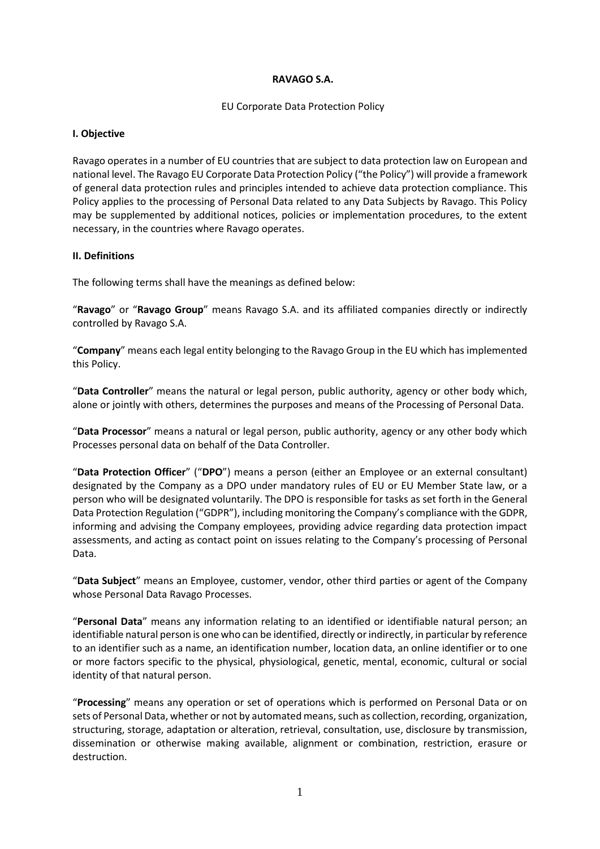#### **RAVAGO S.A.**

### EU Corporate Data Protection Policy

### **I. Objective**

Ravago operates in a number of EU countries that are subject to data protection law on European and national level. The Ravago EU Corporate Data Protection Policy ("the Policy") will provide a framework of general data protection rules and principles intended to achieve data protection compliance. This Policy applies to the processing of Personal Data related to any Data Subjects by Ravago. This Policy may be supplemented by additional notices, policies or implementation procedures, to the extent necessary, in the countries where Ravago operates.

# **II. Definitions**

The following terms shall have the meanings as defined below:

"**Ravago**" or "**Ravago Group**" means Ravago S.A. and its affiliated companies directly or indirectly controlled by Ravago S.A.

"**Company**" means each legal entity belonging to the Ravago Group in the EU which has implemented this Policy.

"**Data Controller**" means the natural or legal person, public authority, agency or other body which, alone or jointly with others, determines the purposes and means of the Processing of Personal Data.

"**Data Processor**" means a natural or legal person, public authority, agency or any other body which Processes personal data on behalf of the Data Controller.

"**Data Protection Officer**" ("**DPO**") means a person (either an Employee or an external consultant) designated by the Company as a DPO under mandatory rules of EU or EU Member State law, or a person who will be designated voluntarily. The DPO is responsible for tasks as set forth in the General Data Protection Regulation ("GDPR"), including monitoring the Company's compliance with the GDPR, informing and advising the Company employees, providing advice regarding data protection impact assessments, and acting as contact point on issues relating to the Company's processing of Personal Data.

"**Data Subject**" means an Employee, customer, vendor, other third parties or agent of the Company whose Personal Data Ravago Processes.

"**Personal Data**" means any information relating to an identified or identifiable natural person; an identifiable natural person is one who can be identified, directly or indirectly, in particular by reference to an identifier such as a name, an identification number, location data, an online identifier or to one or more factors specific to the physical, physiological, genetic, mental, economic, cultural or social identity of that natural person.

"**Processing**" means any operation or set of operations which is performed on Personal Data or on sets of Personal Data, whether or not by automated means, such as collection, recording, organization, structuring, storage, adaptation or alteration, retrieval, consultation, use, disclosure by transmission, dissemination or otherwise making available, alignment or combination, restriction, erasure or destruction.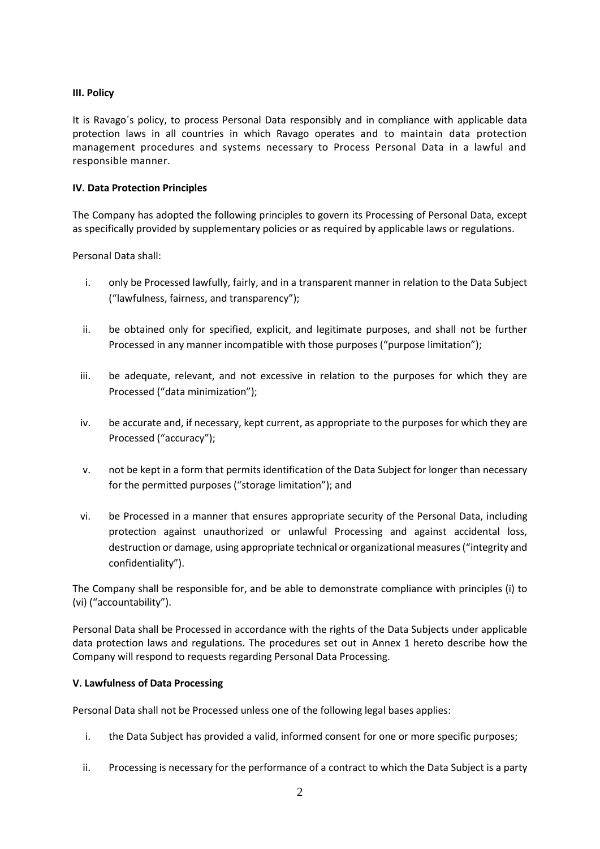# **III. Policy**

It is Ravago´s policy, to process Personal Data responsibly and in compliance with applicable data protection laws in all countries in which Ravago operates and to maintain data protection management procedures and systems necessary to Process Personal Data in a lawful and responsible manner.

# **IV. Data Protection Principles**

The Company has adopted the following principles to govern its Processing of Personal Data, except as specifically provided by supplementary policies or as required by applicable laws or regulations.

Personal Data shall:

- i. only be Processed lawfully, fairly, and in a transparent manner in relation to the Data Subject ("lawfulness, fairness, and transparency");
- ii. be obtained only for specified, explicit, and legitimate purposes, and shall not be further Processed in any manner incompatible with those purposes ("purpose limitation");
- iii. be adequate, relevant, and not excessive in relation to the purposes for which they are Processed ("data minimization");
- iv. be accurate and, if necessary, kept current, as appropriate to the purposes for which they are Processed ("accuracy");
- v. not be kept in a form that permits identification of the Data Subject for longer than necessary for the permitted purposes ("storage limitation"); and
- vi. be Processed in a manner that ensures appropriate security of the Personal Data, including protection against unauthorized or unlawful Processing and against accidental loss, destruction or damage, using appropriate technical or organizational measures ("integrity and confidentiality").

The Company shall be responsible for, and be able to demonstrate compliance with principles (i) to (vi) ("accountability").

Personal Data shall be Processed in accordance with the rights of the Data Subjects under applicable data protection laws and regulations. The procedures set out in Annex 1 hereto describe how the Company will respond to requests regarding Personal Data Processing.

### **V. Lawfulness of Data Processing**

Personal Data shall not be Processed unless one of the following legal bases applies:

- i. the Data Subject has provided a valid, informed consent for one or more specific purposes;
- ii. Processing is necessary for the performance of a contract to which the Data Subject is a party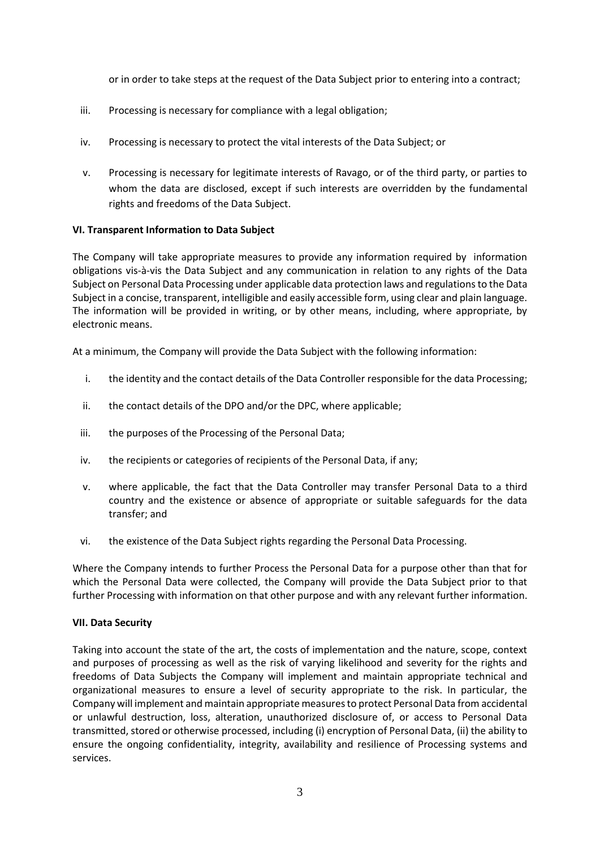or in order to take steps at the request of the Data Subject prior to entering into a contract;

- iii. Processing is necessary for compliance with a legal obligation;
- iv. Processing is necessary to protect the vital interests of the Data Subject; or
- v. Processing is necessary for legitimate interests of Ravago, or of the third party, or parties to whom the data are disclosed, except if such interests are overridden by the fundamental rights and freedoms of the Data Subject.

### **VI. Transparent Information to Data Subject**

The Company will take appropriate measures to provide any information required by information obligations vis-à-vis the Data Subject and any communication in relation to any rights of the Data Subject on Personal Data Processing under applicable data protection laws and regulations to the Data Subject in a concise, transparent, intelligible and easily accessible form, using clear and plain language. The information will be provided in writing, or by other means, including, where appropriate, by electronic means.

At a minimum, the Company will provide the Data Subject with the following information:

- i. the identity and the contact details of the Data Controller responsible for the data Processing;
- ii. the contact details of the DPO and/or the DPC, where applicable;
- iii. the purposes of the Processing of the Personal Data;
- iv. the recipients or categories of recipients of the Personal Data, if any;
- v. where applicable, the fact that the Data Controller may transfer Personal Data to a third country and the existence or absence of appropriate or suitable safeguards for the data transfer; and
- vi. the existence of the Data Subject rights regarding the Personal Data Processing.

Where the Company intends to further Process the Personal Data for a purpose other than that for which the Personal Data were collected, the Company will provide the Data Subject prior to that further Processing with information on that other purpose and with any relevant further information.

### **VII. Data Security**

Taking into account the state of the art, the costs of implementation and the nature, scope, context and purposes of processing as well as the risk of varying likelihood and severity for the rights and freedoms of Data Subjects the Company will implement and maintain appropriate technical and organizational measures to ensure a level of security appropriate to the risk. In particular, the Company will implement and maintain appropriate measures to protect Personal Data from accidental or unlawful destruction, loss, alteration, unauthorized disclosure of, or access to Personal Data transmitted, stored or otherwise processed, including (i) encryption of Personal Data, (ii) the ability to ensure the ongoing confidentiality, integrity, availability and resilience of Processing systems and services.